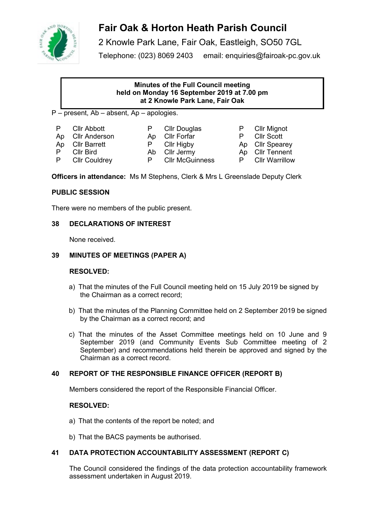

# **Fair Oak & Horton Heath Parish Council**

2 Knowle Park Lane, Fair Oak, Eastleigh, SO50 7GL Telephone: (023) 8069 2403 email: enquiries@fairoak-pc.gov.uk

# **Minutes of the Full Council meeting held on Monday 16 September 2019 at 7.00 pm at 2 Knowle Park Lane, Fair Oak**

P – present, Ab – absent, Ap – apologies.

| P  | Cllr Abbott   |
|----|---------------|
| Ap | Cllr Anderson |

- 
- P Clir Douglas P Clir Mignot<br>
Ab Clir Forfar P Clir Scott Ap Cllr Forfar P Cllr Scott
- 
- Cllr McGuinness

Ap Cllr Barrett **P** Cllr Higby Ap Cllr Spearey P CIIr Bird **Ab CIIr Jermy** Ap CIIr Tennent<br>
P CIIr Couldrey P CIIr McGuinness P CIIr Warrillow

**Officers in attendance:** Ms M Stephens, Clerk & Mrs L Greenslade Deputy Clerk

# **PUBLIC SESSION**

There were no members of the public present.

# **38 DECLARATIONS OF INTEREST**

None received.

# **39 MINUTES OF MEETINGS (PAPER A)**

## **RESOLVED:**

- a) That the minutes of the Full Council meeting held on 15 July 2019 be signed by the Chairman as a correct record;
- b) That the minutes of the Planning Committee held on 2 September 2019 be signed by the Chairman as a correct record; and
- c) That the minutes of the Asset Committee meetings held on 10 June and 9 September 2019 (and Community Events Sub Committee meeting of 2 September) and recommendations held therein be approved and signed by the Chairman as a correct record.

# **40 REPORT OF THE RESPONSIBLE FINANCE OFFICER (REPORT B)**

Members considered the report of the Responsible Financial Officer.

## **RESOLVED:**

- a) That the contents of the report be noted; and
- b) That the BACS payments be authorised.

# **41 DATA PROTECTION ACCOUNTABILITY ASSESSMENT (REPORT C)**

The Council considered the findings of the data protection accountability framework assessment undertaken in August 2019.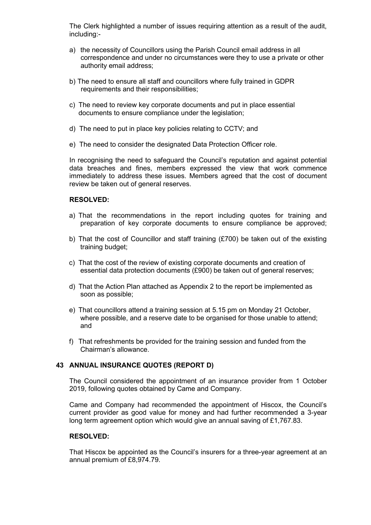The Clerk highlighted a number of issues requiring attention as a result of the audit, including:-

- a) the necessity of Councillors using the Parish Council email address in all correspondence and under no circumstances were they to use a private or other authority email address;
- b) The need to ensure all staff and councillors where fully trained in GDPR requirements and their responsibilities;
- c) The need to review key corporate documents and put in place essential documents to ensure compliance under the legislation;
- d) The need to put in place key policies relating to CCTV; and
- e) The need to consider the designated Data Protection Officer role.

In recognising the need to safeguard the Council's reputation and against potential data breaches and fines, members expressed the view that work commence immediately to address these issues. Members agreed that the cost of document review be taken out of general reserves.

#### **RESOLVED:**

- a) That the recommendations in the report including quotes for training and preparation of key corporate documents to ensure compliance be approved;
- b) That the cost of Councillor and staff training (£700) be taken out of the existing training budget;
- c) That the cost of the review of existing corporate documents and creation of essential data protection documents (£900) be taken out of general reserves;
- d) That the Action Plan attached as Appendix 2 to the report be implemented as soon as possible;
- e) That councillors attend a training session at 5.15 pm on Monday 21 October, where possible, and a reserve date to be organised for those unable to attend: and
- f) That refreshments be provided for the training session and funded from the Chairman's allowance.

## **43 ANNUAL INSURANCE QUOTES (REPORT D)**

The Council considered the appointment of an insurance provider from 1 October 2019, following quotes obtained by Came and Company.

Came and Company had recommended the appointment of Hiscox, the Council's current provider as good value for money and had further recommended a 3-year long term agreement option which would give an annual saving of £1,767.83.

#### **RESOLVED:**

That Hiscox be appointed as the Council's insurers for a three-year agreement at an annual premium of £8,974.79.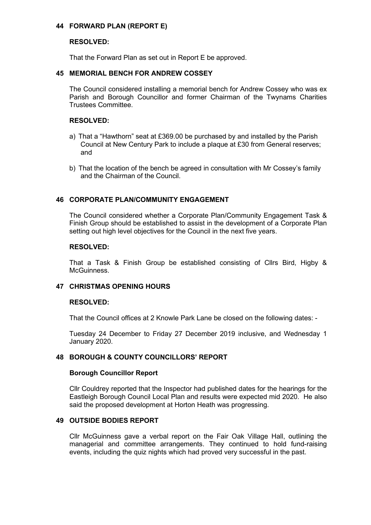## **44 FORWARD PLAN (REPORT E)**

## **RESOLVED:**

That the Forward Plan as set out in Report E be approved.

## **45 MEMORIAL BENCH FOR ANDREW COSSEY**

The Council considered installing a memorial bench for Andrew Cossey who was ex Parish and Borough Councillor and former Chairman of the Twynams Charities Trustees Committee.

## **RESOLVED:**

- a) That a "Hawthorn" seat at £369.00 be purchased by and installed by the Parish Council at New Century Park to include a plaque at £30 from General reserves; and
- b) That the location of the bench be agreed in consultation with Mr Cossey's family and the Chairman of the Council.

# **46 CORPORATE PLAN/COMMUNITY ENGAGEMENT**

The Council considered whether a Corporate Plan/Community Engagement Task & Finish Group should be established to assist in the development of a Corporate Plan setting out high level objectives for the Council in the next five years.

## **RESOLVED:**

That a Task & Finish Group be established consisting of Cllrs Bird, Higby & **McGuinness** 

## **47 CHRISTMAS OPENING HOURS**

## **RESOLVED:**

That the Council offices at 2 Knowle Park Lane be closed on the following dates: -

Tuesday 24 December to Friday 27 December 2019 inclusive, and Wednesday 1 January 2020.

## **48 BOROUGH & COUNTY COUNCILLORS' REPORT**

#### **Borough Councillor Report**

Cllr Couldrey reported that the Inspector had published dates for the hearings for the Eastleigh Borough Council Local Plan and results were expected mid 2020. He also said the proposed development at Horton Heath was progressing.

## **49 OUTSIDE BODIES REPORT**

Cllr McGuinness gave a verbal report on the Fair Oak Village Hall, outlining the managerial and committee arrangements. They continued to hold fund-raising events, including the quiz nights which had proved very successful in the past.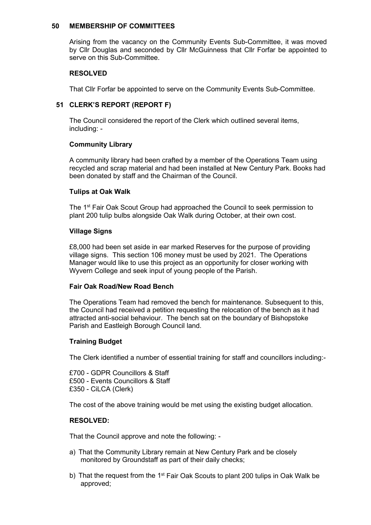#### **50 MEMBERSHIP OF COMMITTEES**

Arising from the vacancy on the Community Events Sub-Committee, it was moved by Cllr Douglas and seconded by Cllr McGuinness that Cllr Forfar be appointed to serve on this Sub-Committee.

#### **RESOLVED**

That Cllr Forfar be appointed to serve on the Community Events Sub-Committee.

# **51 CLERK'S REPORT (REPORT F)**

The Council considered the report of the Clerk which outlined several items, including: -

## **Community Library**

A community library had been crafted by a member of the Operations Team using recycled and scrap material and had been installed at New Century Park. Books had been donated by staff and the Chairman of the Council.

#### **Tulips at Oak Walk**

The 1<sup>st</sup> Fair Oak Scout Group had approached the Council to seek permission to plant 200 tulip bulbs alongside Oak Walk during October, at their own cost.

#### **Village Signs**

£8,000 had been set aside in ear marked Reserves for the purpose of providing village signs. This section 106 money must be used by 2021. The Operations Manager would like to use this project as an opportunity for closer working with Wyvern College and seek input of young people of the Parish.

## **Fair Oak Road/New Road Bench**

The Operations Team had removed the bench for maintenance. Subsequent to this, the Council had received a petition requesting the relocation of the bench as it had attracted anti-social behaviour. The bench sat on the boundary of Bishopstoke Parish and Eastleigh Borough Council land.

## **Training Budget**

The Clerk identified a number of essential training for staff and councillors including:-

£700 - GDPR Councillors & Staff £500 - Events Councillors & Staff £350 - CiLCA (Clerk)

The cost of the above training would be met using the existing budget allocation.

# **RESOLVED:**

That the Council approve and note the following: -

- a) That the Community Library remain at New Century Park and be closely monitored by Groundstaff as part of their daily checks;
- b) That the request from the 1<sup>st</sup> Fair Oak Scouts to plant 200 tulips in Oak Walk be approved;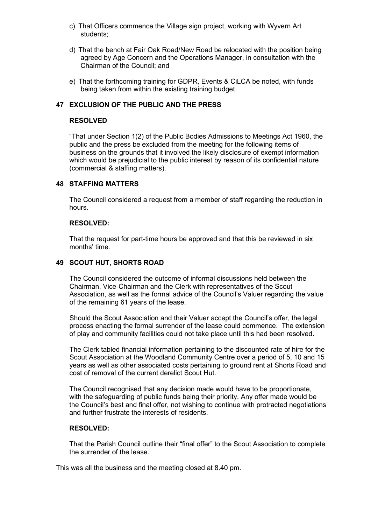- c) That Officers commence the Village sign project, working with Wyvern Art students;
- d) That the bench at Fair Oak Road/New Road be relocated with the position being agreed by Age Concern and the Operations Manager, in consultation with the Chairman of the Council; and
- e) That the forthcoming training for GDPR, Events & CiLCA be noted, with funds being taken from within the existing training budget.

## **47 EXCLUSION OF THE PUBLIC AND THE PRESS**

#### **RESOLVED**

"That under Section 1(2) of the Public Bodies Admissions to Meetings Act 1960, the public and the press be excluded from the meeting for the following items of business on the grounds that it involved the likely disclosure of exempt information which would be prejudicial to the public interest by reason of its confidential nature (commercial & staffing matters).

#### **48 STAFFING MATTERS**

The Council considered a request from a member of staff regarding the reduction in hours.

#### **RESOLVED:**

That the request for part-time hours be approved and that this be reviewed in six months' time.

# **49 SCOUT HUT, SHORTS ROAD**

The Council considered the outcome of informal discussions held between the Chairman, Vice-Chairman and the Clerk with representatives of the Scout Association, as well as the formal advice of the Council's Valuer regarding the value of the remaining 61 years of the lease.

Should the Scout Association and their Valuer accept the Council's offer, the legal process enacting the formal surrender of the lease could commence. The extension of play and community facilities could not take place until this had been resolved.

The Clerk tabled financial information pertaining to the discounted rate of hire for the Scout Association at the Woodland Community Centre over a period of 5, 10 and 15 years as well as other associated costs pertaining to ground rent at Shorts Road and cost of removal of the current derelict Scout Hut.

The Council recognised that any decision made would have to be proportionate, with the safeguarding of public funds being their priority. Any offer made would be the Council's best and final offer, not wishing to continue with protracted negotiations and further frustrate the interests of residents.

# **RESOLVED:**

That the Parish Council outline their "final offer" to the Scout Association to complete the surrender of the lease.

This was all the business and the meeting closed at 8.40 pm.